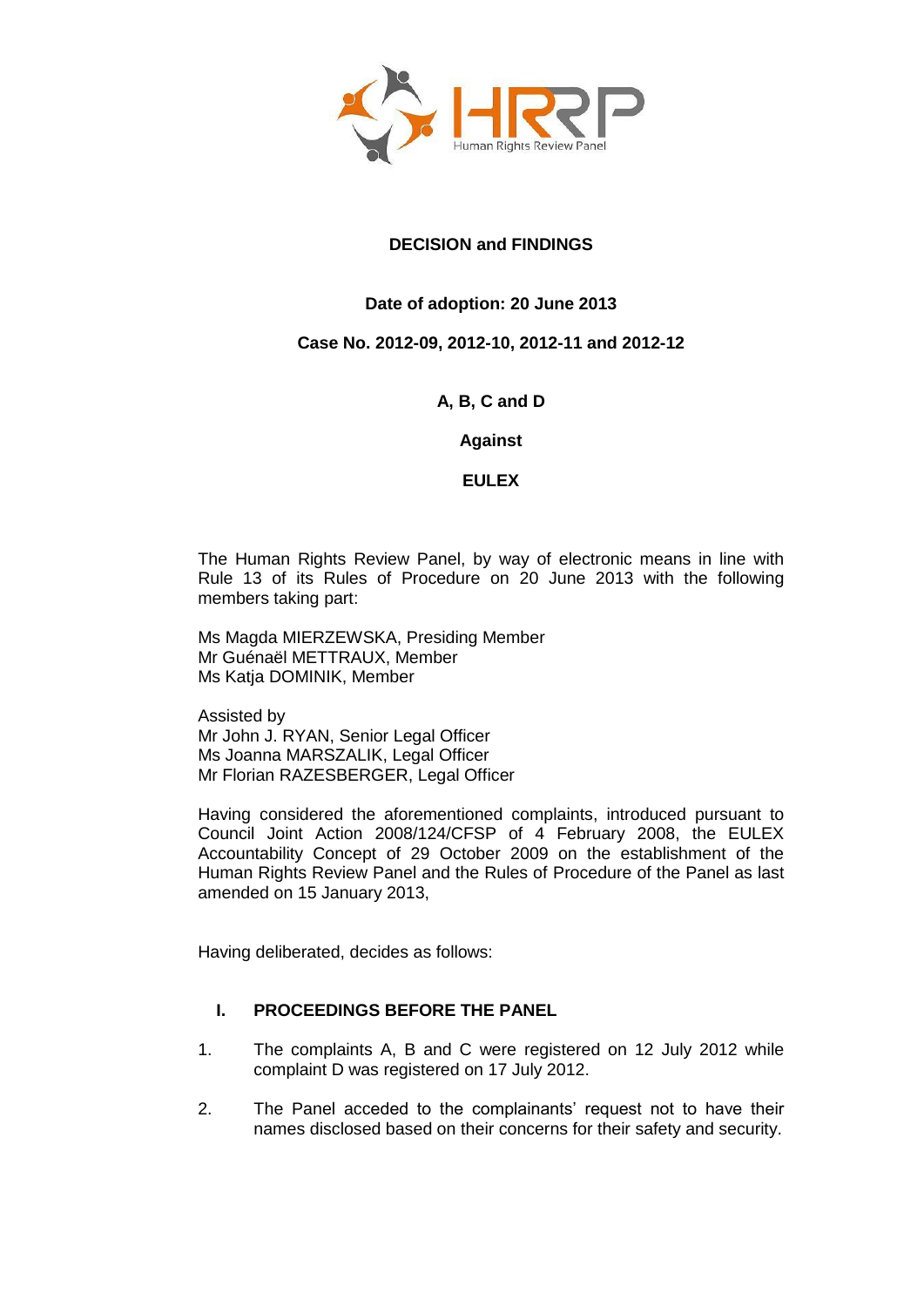

# **DECISION and FINDINGS**

# **Date of adoption: 20 June 2013**

## **Case No. 2012-09, 2012-10, 2012-11 and 2012-12**

## **A, B, C and D**

**Against**

**EULEX**

The Human Rights Review Panel, by way of electronic means in line with Rule 13 of its Rules of Procedure on 20 June 2013 with the following members taking part:

Ms Magda MIERZEWSKA, Presiding Member Mr Guénaël METTRAUX, Member Ms Katja DOMINIK, Member

Assisted by Mr John J. RYAN, Senior Legal Officer Ms Joanna MARSZALIK, Legal Officer Mr Florian RAZESBERGER, Legal Officer

Having considered the aforementioned complaints, introduced pursuant to Council Joint Action 2008/124/CFSP of 4 February 2008, the EULEX Accountability Concept of 29 October 2009 on the establishment of the Human Rights Review Panel and the Rules of Procedure of the Panel as last amended on 15 January 2013,

Having deliberated, decides as follows:

## **I. PROCEEDINGS BEFORE THE PANEL**

- 1. The complaints A, B and C were registered on 12 July 2012 while complaint D was registered on 17 July 2012.
- 2. The Panel acceded to the complainants' request not to have their names disclosed based on their concerns for their safety and security.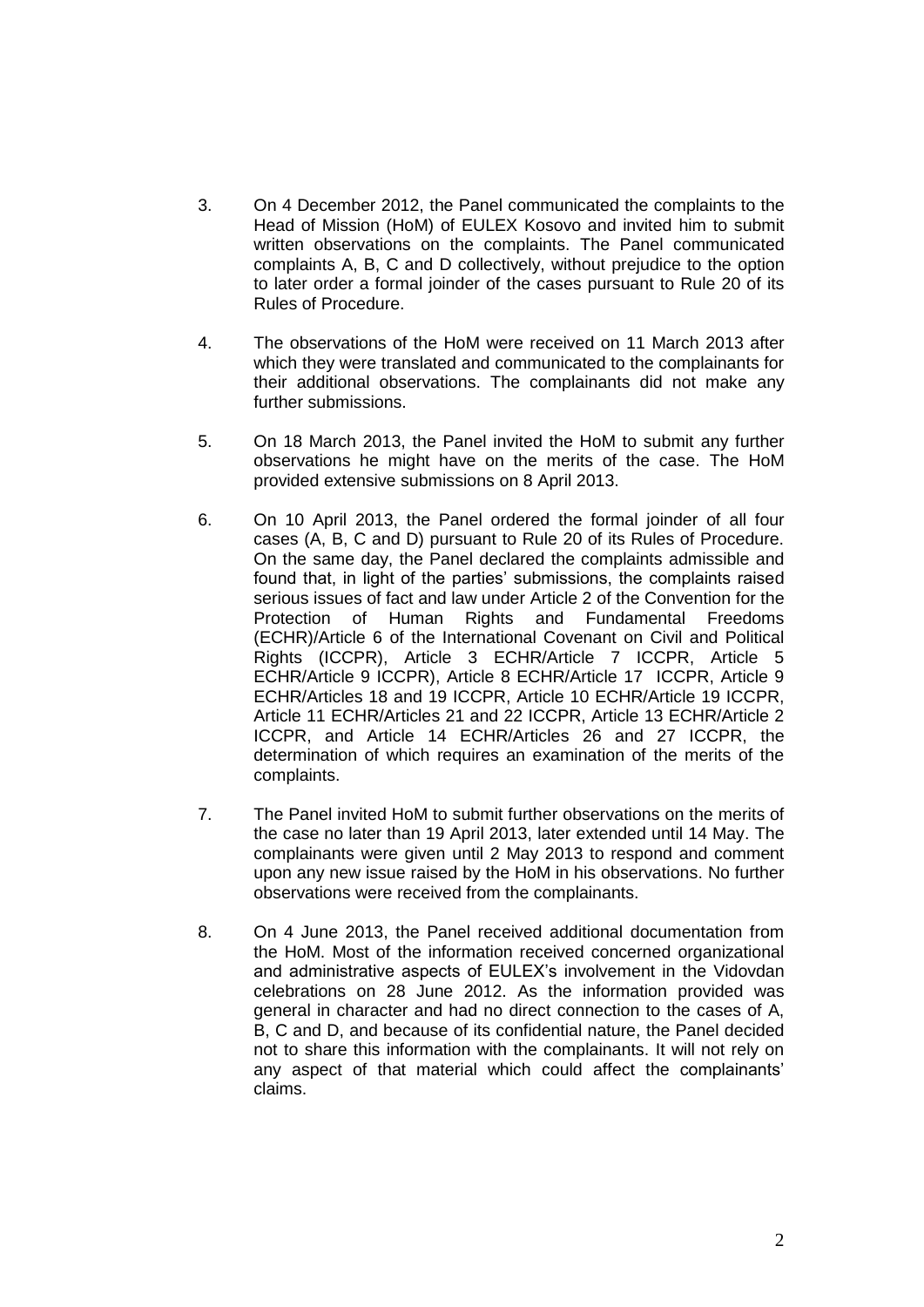- 3. On 4 December 2012, the Panel communicated the complaints to the Head of Mission (HoM) of EULEX Kosovo and invited him to submit written observations on the complaints. The Panel communicated complaints A, B, C and D collectively, without prejudice to the option to later order a formal joinder of the cases pursuant to Rule 20 of its Rules of Procedure.
- 4. The observations of the HoM were received on 11 March 2013 after which they were translated and communicated to the complainants for their additional observations. The complainants did not make any further submissions.
- 5. On 18 March 2013, the Panel invited the HoM to submit any further observations he might have on the merits of the case. The HoM provided extensive submissions on 8 April 2013.
- 6. On 10 April 2013, the Panel ordered the formal joinder of all four cases (A, B, C and D) pursuant to Rule 20 of its Rules of Procedure. On the same day, the Panel declared the complaints admissible and found that, in light of the parties' submissions, the complaints raised serious issues of fact and law under Article 2 of the Convention for the Protection of Human Rights and Fundamental Freedoms (ECHR)/Article 6 of the International Covenant on Civil and Political Rights (ICCPR), Article 3 ECHR/Article 7 ICCPR, Article 5 ECHR/Article 9 ICCPR), Article 8 ECHR/Article 17 ICCPR, Article 9 ECHR/Articles 18 and 19 ICCPR, Article 10 ECHR/Article 19 ICCPR, Article 11 ECHR/Articles 21 and 22 ICCPR, Article 13 ECHR/Article 2 ICCPR, and Article 14 ECHR/Articles 26 and 27 ICCPR, the determination of which requires an examination of the merits of the complaints.
- 7. The Panel invited HoM to submit further observations on the merits of the case no later than 19 April 2013, later extended until 14 May. The complainants were given until 2 May 2013 to respond and comment upon any new issue raised by the HoM in his observations. No further observations were received from the complainants.
- 8. On 4 June 2013, the Panel received additional documentation from the HoM. Most of the information received concerned organizational and administrative aspects of EULEX's involvement in the Vidovdan celebrations on 28 June 2012. As the information provided was general in character and had no direct connection to the cases of A, B, C and D, and because of its confidential nature, the Panel decided not to share this information with the complainants. It will not rely on any aspect of that material which could affect the complainants' claims.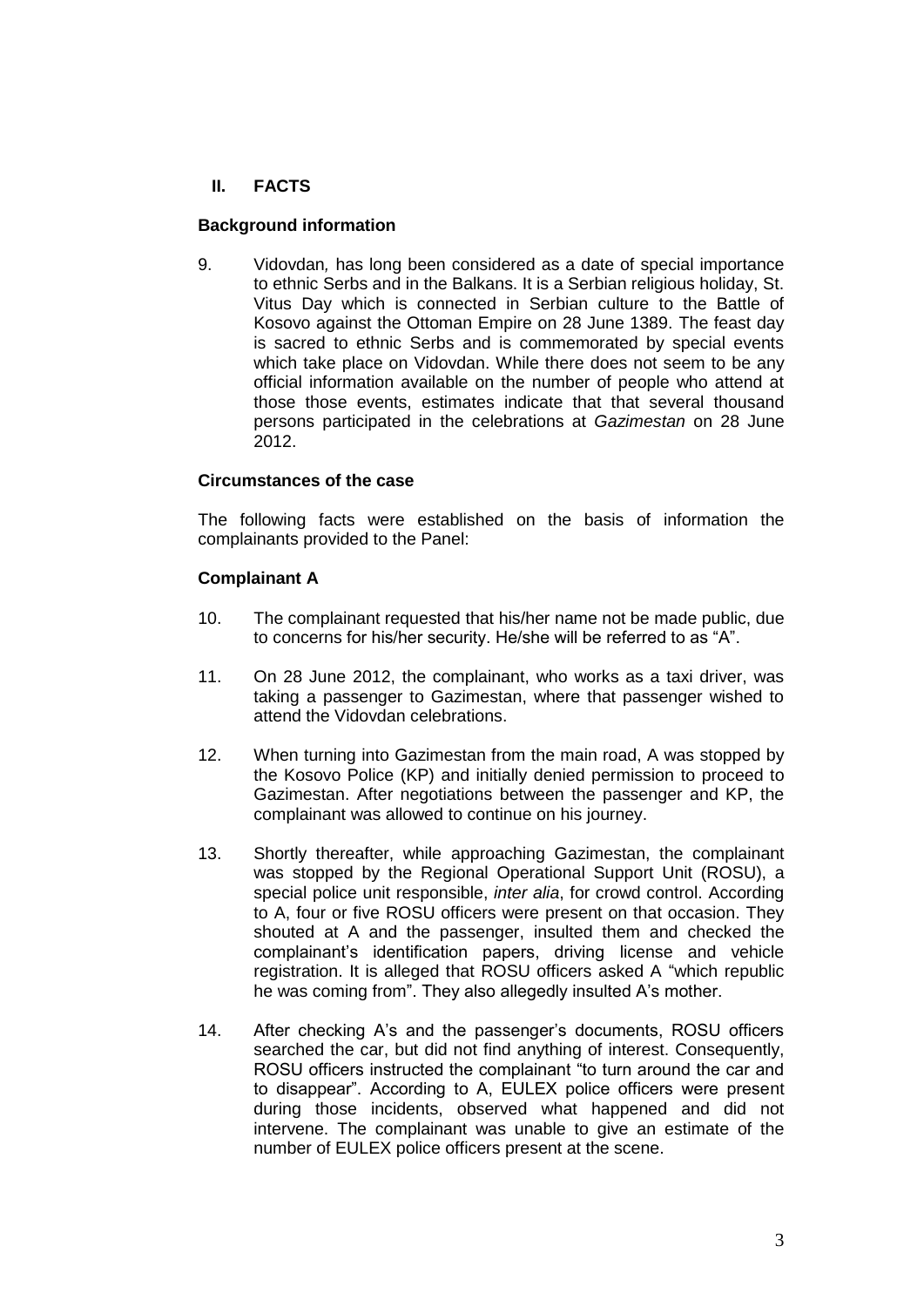# **II. FACTS**

#### **Background information**

9. Vidovdan*,* has long been considered as a date of special importance to ethnic Serbs and in the Balkans. It is a Serbian religious holiday, St. Vitus Day which is connected in Serbian culture to the Battle of Kosovo against the Ottoman Empire on 28 June 1389. The feast day is sacred to ethnic Serbs and is commemorated by special events which take place on Vidovdan. While there does not seem to be any official information available on the number of people who attend at those those events, estimates indicate that that several thousand persons participated in the celebrations at *Gazimestan* on 28 June 2012.

#### **Circumstances of the case**

The following facts were established on the basis of information the complainants provided to the Panel:

#### **Complainant A**

- 10. The complainant requested that his/her name not be made public, due to concerns for his/her security. He/she will be referred to as "A".
- 11. On 28 June 2012, the complainant, who works as a taxi driver, was taking a passenger to Gazimestan, where that passenger wished to attend the Vidovdan celebrations.
- 12. When turning into Gazimestan from the main road, A was stopped by the Kosovo Police (KP) and initially denied permission to proceed to Gazimestan. After negotiations between the passenger and KP, the complainant was allowed to continue on his journey.
- 13. Shortly thereafter, while approaching Gazimestan, the complainant was stopped by the Regional Operational Support Unit (ROSU), a special police unit responsible, *inter alia*, for crowd control. According to A, four or five ROSU officers were present on that occasion. They shouted at A and the passenger, insulted them and checked the complainant's identification papers, driving license and vehicle registration. It is alleged that ROSU officers asked A "which republic he was coming from". They also allegedly insulted A's mother.
- 14. After checking A's and the passenger's documents, ROSU officers searched the car, but did not find anything of interest. Consequently, ROSU officers instructed the complainant "to turn around the car and to disappear". According to A, EULEX police officers were present during those incidents, observed what happened and did not intervene. The complainant was unable to give an estimate of the number of EULEX police officers present at the scene.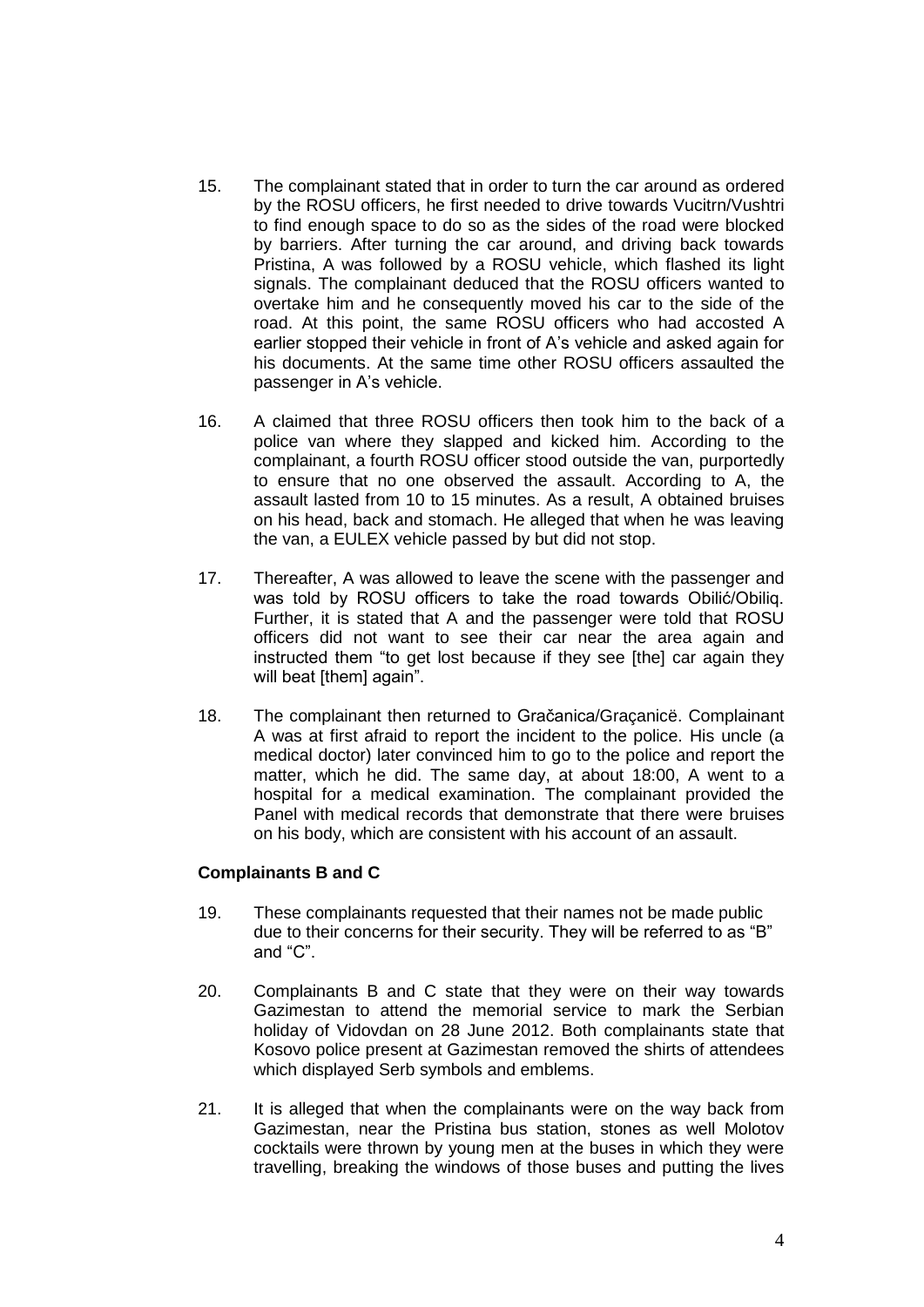- 15. The complainant stated that in order to turn the car around as ordered by the ROSU officers, he first needed to drive towards Vucitrn/Vushtri to find enough space to do so as the sides of the road were blocked by barriers. After turning the car around, and driving back towards Pristina, A was followed by a ROSU vehicle, which flashed its light signals. The complainant deduced that the ROSU officers wanted to overtake him and he consequently moved his car to the side of the road. At this point, the same ROSU officers who had accosted A earlier stopped their vehicle in front of A's vehicle and asked again for his documents. At the same time other ROSU officers assaulted the passenger in A's vehicle.
- 16. A claimed that three ROSU officers then took him to the back of a police van where they slapped and kicked him. According to the complainant, a fourth ROSU officer stood outside the van, purportedly to ensure that no one observed the assault. According to A, the assault lasted from 10 to 15 minutes. As a result, A obtained bruises on his head, back and stomach. He alleged that when he was leaving the van, a EULEX vehicle passed by but did not stop.
- 17. Thereafter, A was allowed to leave the scene with the passenger and was told by ROSU officers to take the road towards Obilić/Obiliq. Further, it is stated that A and the passenger were told that ROSU officers did not want to see their car near the area again and instructed them "to get lost because if they see [the] car again they will beat [them] again".
- 18. The complainant then returned to Gračanica/Graçanicë. Complainant A was at first afraid to report the incident to the police. His uncle (a medical doctor) later convinced him to go to the police and report the matter, which he did. The same day, at about 18:00, A went to a hospital for a medical examination. The complainant provided the Panel with medical records that demonstrate that there were bruises on his body, which are consistent with his account of an assault.

#### **Complainants B and C**

- 19. These complainants requested that their names not be made public due to their concerns for their security. They will be referred to as "B" and "C".
- 20. Complainants B and C state that they were on their way towards Gazimestan to attend the memorial service to mark the Serbian holiday of Vidovdan on 28 June 2012. Both complainants state that Kosovo police present at Gazimestan removed the shirts of attendees which displayed Serb symbols and emblems.
- 21. It is alleged that when the complainants were on the way back from Gazimestan, near the Pristina bus station, stones as well Molotov cocktails were thrown by young men at the buses in which they were travelling, breaking the windows of those buses and putting the lives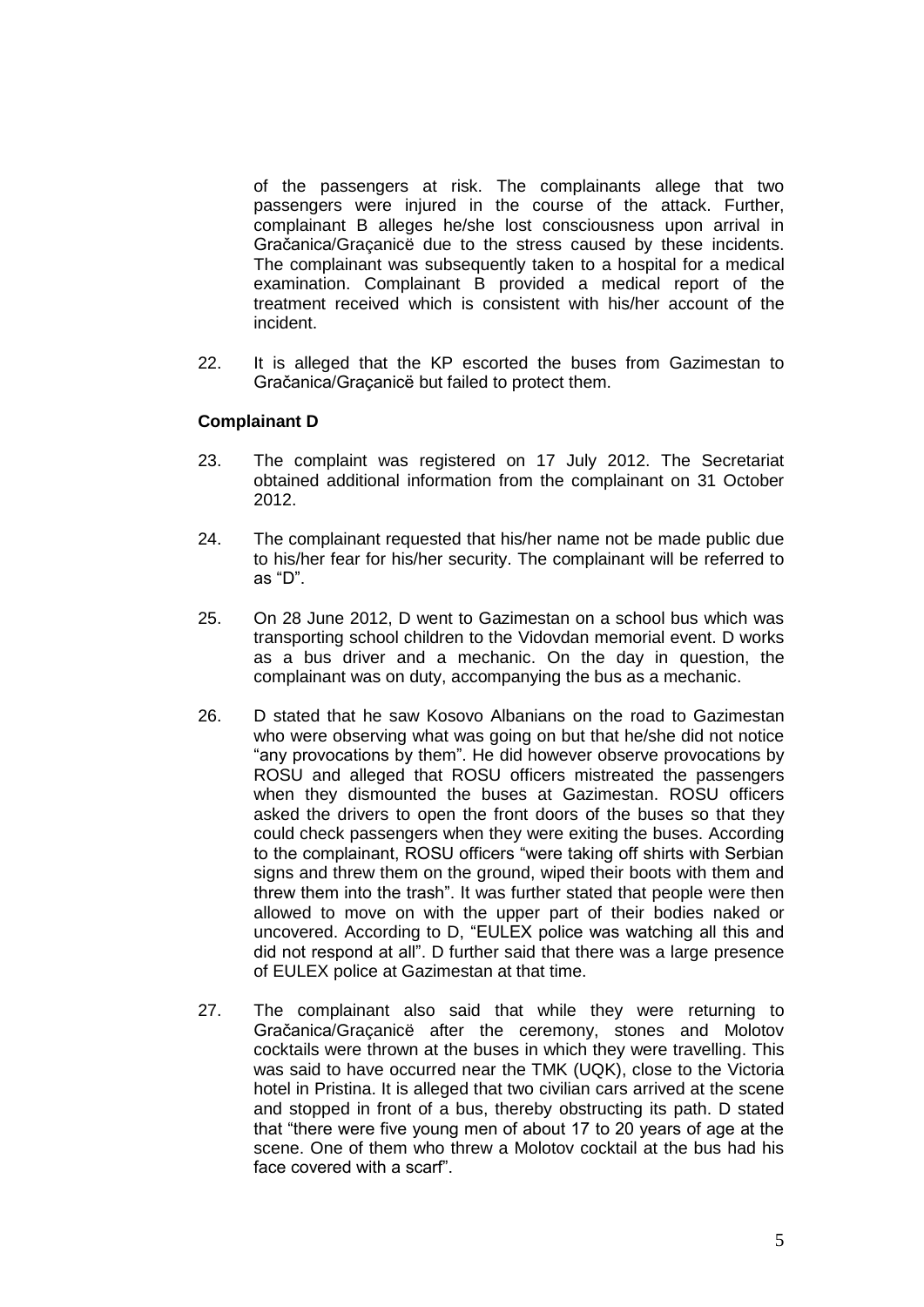of the passengers at risk. The complainants allege that two passengers were injured in the course of the attack. Further, complainant B alleges he/she lost consciousness upon arrival in Gračanica/Graçanicë due to the stress caused by these incidents. The complainant was subsequently taken to a hospital for a medical examination. Complainant B provided a medical report of the treatment received which is consistent with his/her account of the incident.

22. It is alleged that the KP escorted the buses from Gazimestan to Gračanica/Graçanicë but failed to protect them.

## **Complainant D**

- 23. The complaint was registered on 17 July 2012. The Secretariat obtained additional information from the complainant on 31 October 2012.
- 24. The complainant requested that his/her name not be made public due to his/her fear for his/her security. The complainant will be referred to as "D".
- 25. On 28 June 2012, D went to Gazimestan on a school bus which was transporting school children to the Vidovdan memorial event. D works as a bus driver and a mechanic. On the day in question, the complainant was on duty, accompanying the bus as a mechanic.
- 26. D stated that he saw Kosovo Albanians on the road to Gazimestan who were observing what was going on but that he/she did not notice "any provocations by them". He did however observe provocations by ROSU and alleged that ROSU officers mistreated the passengers when they dismounted the buses at Gazimestan. ROSU officers asked the drivers to open the front doors of the buses so that they could check passengers when they were exiting the buses. According to the complainant, ROSU officers "were taking off shirts with Serbian signs and threw them on the ground, wiped their boots with them and threw them into the trash". It was further stated that people were then allowed to move on with the upper part of their bodies naked or uncovered. According to D, "EULEX police was watching all this and did not respond at all". D further said that there was a large presence of EULEX police at Gazimestan at that time.
- 27. The complainant also said that while they were returning to Gračanica/Graçanicë after the ceremony, stones and Molotov cocktails were thrown at the buses in which they were travelling. This was said to have occurred near the TMK (UQK), close to the Victoria hotel in Pristina. It is alleged that two civilian cars arrived at the scene and stopped in front of a bus, thereby obstructing its path. D stated that "there were five young men of about 17 to 20 years of age at the scene. One of them who threw a Molotov cocktail at the bus had his face covered with a scarf".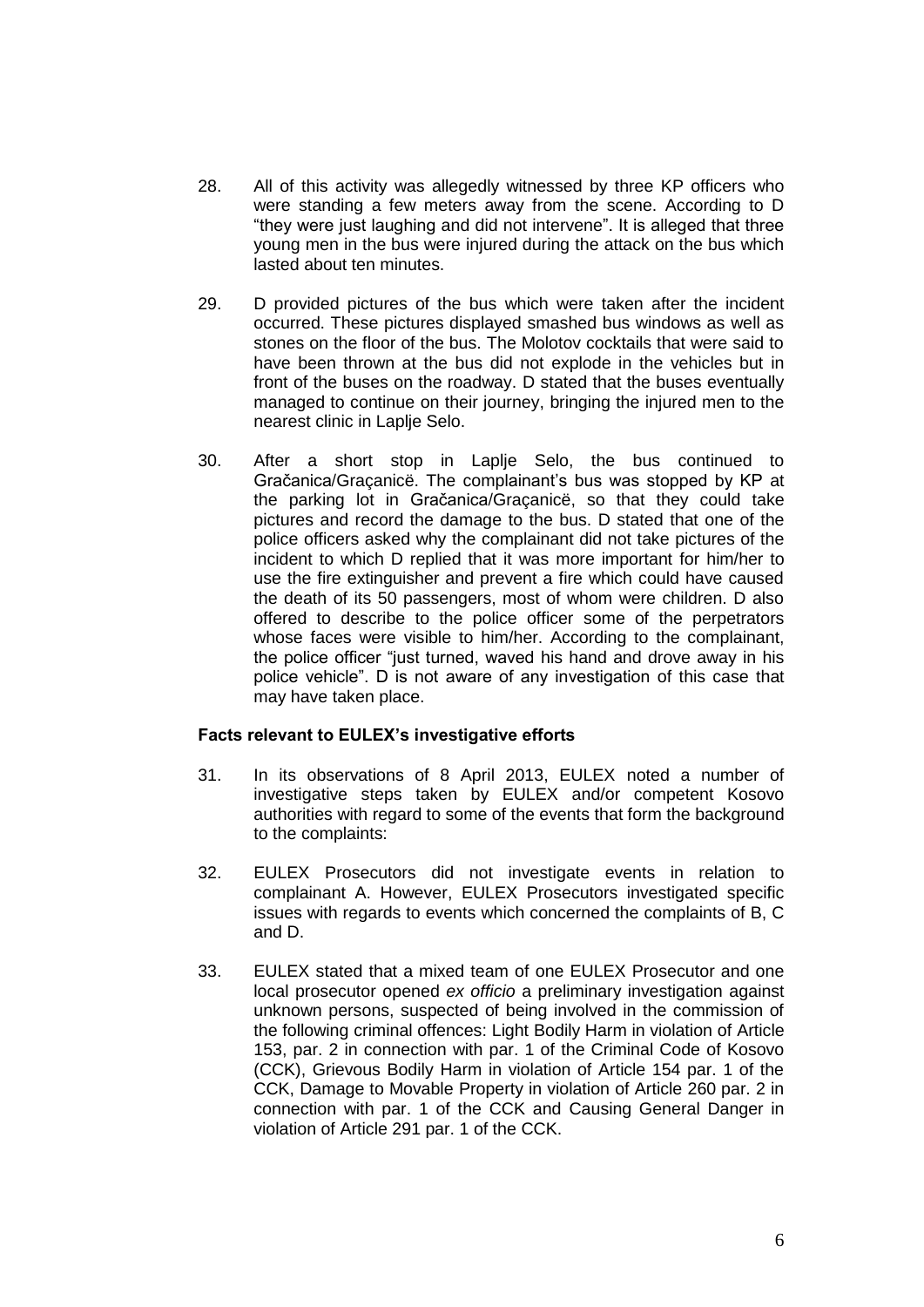- 28. All of this activity was allegedly witnessed by three KP officers who were standing a few meters away from the scene. According to D "they were just laughing and did not intervene". It is alleged that three young men in the bus were injured during the attack on the bus which lasted about ten minutes.
- 29. D provided pictures of the bus which were taken after the incident occurred. These pictures displayed smashed bus windows as well as stones on the floor of the bus. The Molotov cocktails that were said to have been thrown at the bus did not explode in the vehicles but in front of the buses on the roadway. D stated that the buses eventually managed to continue on their journey, bringing the injured men to the nearest clinic in Laplje Selo.
- 30. After a short stop in Laplje Selo, the bus continued to Gračanica/Graçanicë. The complainant's bus was stopped by KP at the parking lot in Gračanica/Graçanicë, so that they could take pictures and record the damage to the bus. D stated that one of the police officers asked why the complainant did not take pictures of the incident to which D replied that it was more important for him/her to use the fire extinguisher and prevent a fire which could have caused the death of its 50 passengers, most of whom were children. D also offered to describe to the police officer some of the perpetrators whose faces were visible to him/her. According to the complainant, the police officer "just turned, waved his hand and drove away in his police vehicle". D is not aware of any investigation of this case that may have taken place.

#### **Facts relevant to EULEX's investigative efforts**

- 31. In its observations of 8 April 2013, EULEX noted a number of investigative steps taken by EULEX and/or competent Kosovo authorities with regard to some of the events that form the background to the complaints:
- 32. EULEX Prosecutors did not investigate events in relation to complainant A. However, EULEX Prosecutors investigated specific issues with regards to events which concerned the complaints of B, C and D.
- 33. EULEX stated that a mixed team of one EULEX Prosecutor and one local prosecutor opened *ex officio* a preliminary investigation against unknown persons, suspected of being involved in the commission of the following criminal offences: Light Bodily Harm in violation of Article 153, par. 2 in connection with par. 1 of the Criminal Code of Kosovo (CCK), Grievous Bodily Harm in violation of Article 154 par. 1 of the CCK, Damage to Movable Property in violation of Article 260 par. 2 in connection with par. 1 of the CCK and Causing General Danger in violation of Article 291 par. 1 of the CCK.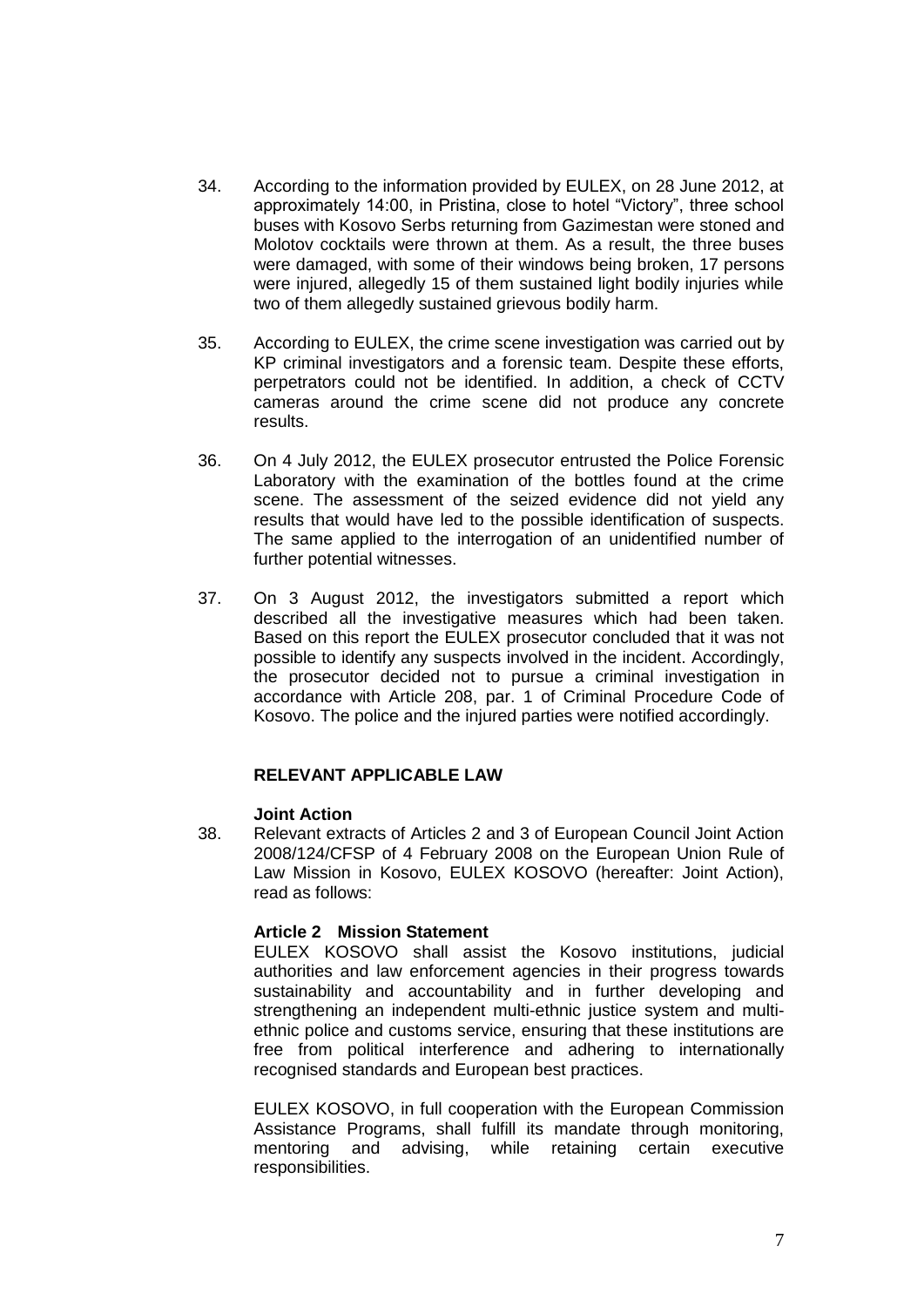- 34. According to the information provided by EULEX, on 28 June 2012, at approximately 14:00, in Pristina, close to hotel "Victory", three school buses with Kosovo Serbs returning from Gazimestan were stoned and Molotov cocktails were thrown at them. As a result, the three buses were damaged, with some of their windows being broken, 17 persons were injured, allegedly 15 of them sustained light bodily injuries while two of them allegedly sustained grievous bodily harm.
- 35. According to EULEX, the crime scene investigation was carried out by KP criminal investigators and a forensic team. Despite these efforts, perpetrators could not be identified. In addition, a check of CCTV cameras around the crime scene did not produce any concrete results.
- 36. On 4 July 2012, the EULEX prosecutor entrusted the Police Forensic Laboratory with the examination of the bottles found at the crime scene. The assessment of the seized evidence did not yield any results that would have led to the possible identification of suspects. The same applied to the interrogation of an unidentified number of further potential witnesses.
- 37. On 3 August 2012, the investigators submitted a report which described all the investigative measures which had been taken. Based on this report the EULEX prosecutor concluded that it was not possible to identify any suspects involved in the incident. Accordingly, the prosecutor decided not to pursue a criminal investigation in accordance with Article 208, par. 1 of Criminal Procedure Code of Kosovo. The police and the injured parties were notified accordingly.

## **RELEVANT APPLICABLE LAW**

#### **Joint Action**

38. Relevant extracts of Articles 2 and 3 of European Council Joint Action 2008/124/CFSP of 4 February 2008 on the European Union Rule of Law Mission in Kosovo, EULEX KOSOVO (hereafter: Joint Action), read as follows:

## **Article 2 Mission Statement**

EULEX KOSOVO shall assist the Kosovo institutions, judicial authorities and law enforcement agencies in their progress towards sustainability and accountability and in further developing and strengthening an independent multi-ethnic justice system and multiethnic police and customs service, ensuring that these institutions are free from political interference and adhering to internationally recognised standards and European best practices.

EULEX KOSOVO, in full cooperation with the European Commission Assistance Programs, shall fulfill its mandate through monitoring, mentoring and advising, while retaining certain executive responsibilities.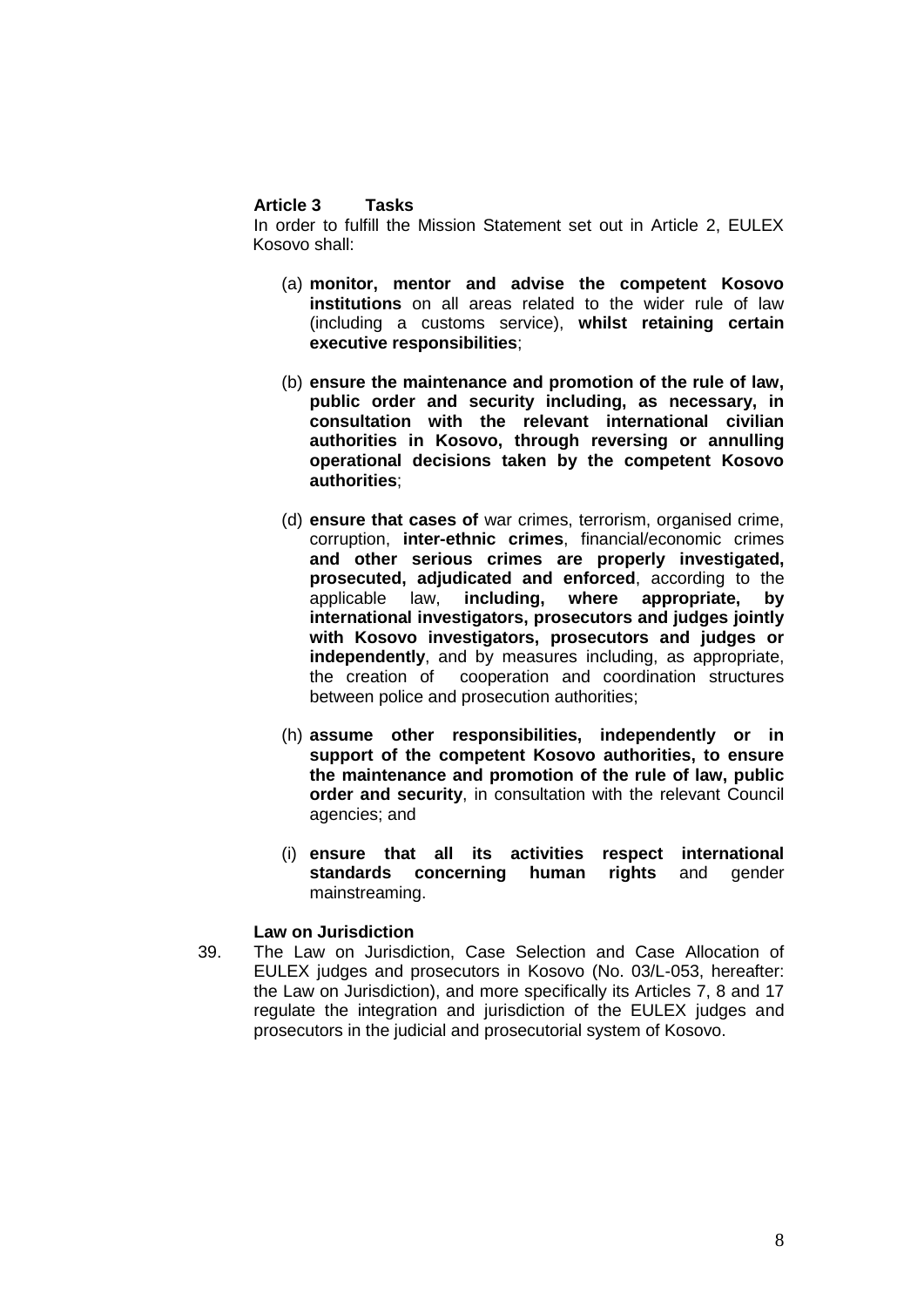#### **Article 3 Tasks**

In order to fulfill the Mission Statement set out in Article 2, EULEX Kosovo shall:

- (a) **monitor, mentor and advise the competent Kosovo institutions** on all areas related to the wider rule of law (including a customs service), **whilst retaining certain executive responsibilities**;
- (b) **ensure the maintenance and promotion of the rule of law, public order and security including, as necessary, in consultation with the relevant international civilian authorities in Kosovo, through reversing or annulling operational decisions taken by the competent Kosovo authorities**;
- (d) **ensure that cases of** war crimes, terrorism, organised crime, corruption, **inter-ethnic crimes**, financial/economic crimes **and other serious crimes are properly investigated, prosecuted, adjudicated and enforced**, according to the applicable law, **including, where appropriate, by international investigators, prosecutors and judges jointly with Kosovo investigators, prosecutors and judges or independently**, and by measures including, as appropriate, the creation of cooperation and coordination structures between police and prosecution authorities;
- (h) **assume other responsibilities, independently or in support of the competent Kosovo authorities, to ensure the maintenance and promotion of the rule of law, public order and security**, in consultation with the relevant Council agencies; and
- (i) **ensure that all its activities respect international standards concerning human rights** and gender mainstreaming.

#### **Law on Jurisdiction**

39. The Law on Jurisdiction, Case Selection and Case Allocation of EULEX judges and prosecutors in Kosovo (No. 03/L-053, hereafter: the Law on Jurisdiction), and more specifically its Articles 7, 8 and 17 regulate the integration and jurisdiction of the EULEX judges and prosecutors in the judicial and prosecutorial system of Kosovo.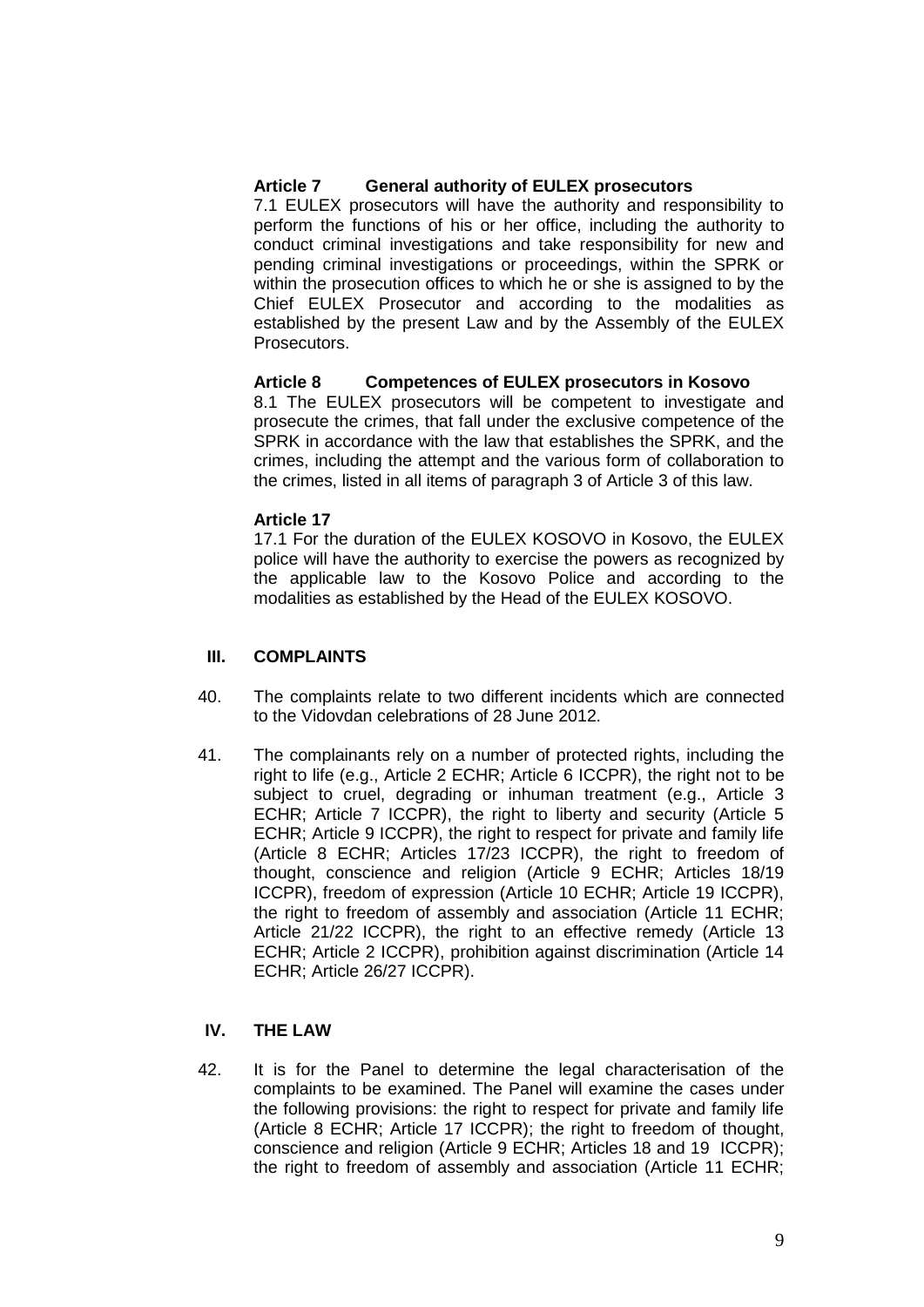# **Article 7 General authority of EULEX prosecutors**

7.1 EULEX prosecutors will have the authority and responsibility to perform the functions of his or her office, including the authority to conduct criminal investigations and take responsibility for new and pending criminal investigations or proceedings, within the SPRK or within the prosecution offices to which he or she is assigned to by the Chief EULEX Prosecutor and according to the modalities as established by the present Law and by the Assembly of the EULEX Prosecutors.

# **Article 8 Competences of EULEX prosecutors in Kosovo**

8.1 The EULEX prosecutors will be competent to investigate and prosecute the crimes, that fall under the exclusive competence of the SPRK in accordance with the law that establishes the SPRK, and the crimes, including the attempt and the various form of collaboration to the crimes, listed in all items of paragraph 3 of Article 3 of this law.

#### **Article 17**

17.1 For the duration of the EULEX KOSOVO in Kosovo, the EULEX police will have the authority to exercise the powers as recognized by the applicable law to the Kosovo Police and according to the modalities as established by the Head of the EULEX KOSOVO.

## **III. COMPLAINTS**

- 40. The complaints relate to two different incidents which are connected to the Vidovdan celebrations of 28 June 2012.
- 41. The complainants rely on a number of protected rights, including the right to life (e.g., Article 2 ECHR; Article 6 ICCPR), the right not to be subject to cruel, degrading or inhuman treatment (e.g., Article 3 ECHR; Article 7 ICCPR), the right to liberty and security (Article 5 ECHR; Article 9 ICCPR), the right to respect for private and family life (Article 8 ECHR; Articles 17/23 ICCPR), the right to freedom of thought, conscience and religion (Article 9 ECHR; Articles 18/19 ICCPR), freedom of expression (Article 10 ECHR; Article 19 ICCPR), the right to freedom of assembly and association (Article 11 ECHR; Article 21/22 ICCPR), the right to an effective remedy (Article 13 ECHR; Article 2 ICCPR), prohibition against discrimination (Article 14 ECHR; Article 26/27 ICCPR).

# **IV. THE LAW**

42. It is for the Panel to determine the legal characterisation of the complaints to be examined. The Panel will examine the cases under the following provisions: the right to respect for private and family life (Article 8 ECHR; Article 17 ICCPR); the right to freedom of thought, conscience and religion (Article 9 ECHR; Articles 18 and 19 ICCPR); the right to freedom of assembly and association (Article 11 ECHR;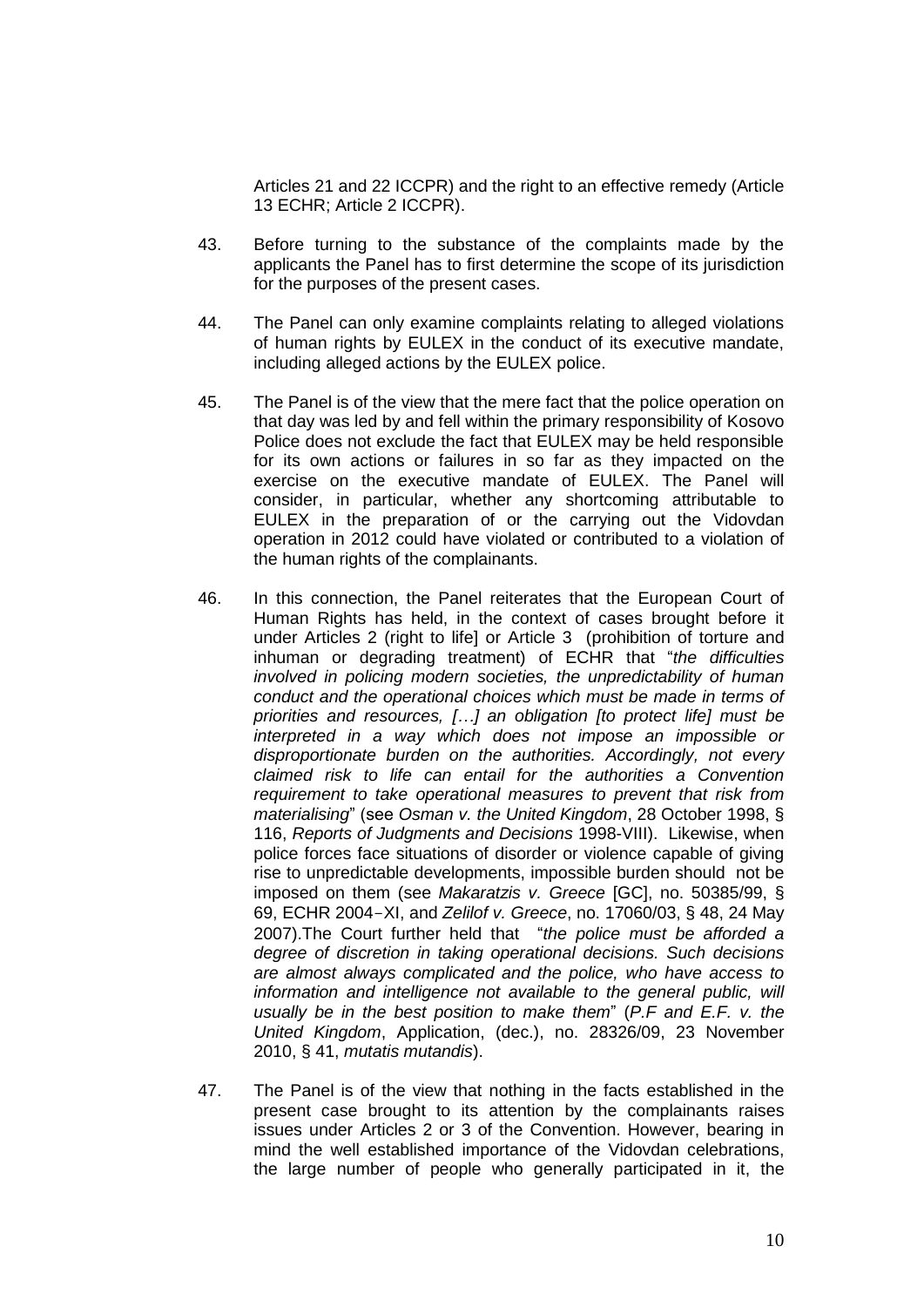Articles 21 and 22 ICCPR) and the right to an effective remedy (Article 13 ECHR; Article 2 ICCPR).

- 43. Before turning to the substance of the complaints made by the applicants the Panel has to first determine the scope of its jurisdiction for the purposes of the present cases.
- 44. The Panel can only examine complaints relating to alleged violations of human rights by EULEX in the conduct of its executive mandate, including alleged actions by the EULEX police.
- 45. The Panel is of the view that the mere fact that the police operation on that day was led by and fell within the primary responsibility of Kosovo Police does not exclude the fact that EULEX may be held responsible for its own actions or failures in so far as they impacted on the exercise on the executive mandate of EULEX. The Panel will consider, in particular, whether any shortcoming attributable to EULEX in the preparation of or the carrying out the Vidovdan operation in 2012 could have violated or contributed to a violation of the human rights of the complainants.
- 46. In this connection, the Panel reiterates that the European Court of Human Rights has held, in the context of cases brought before it under Articles 2 (right to life] or Article 3 (prohibition of torture and inhuman or degrading treatment) of ECHR that "*the difficulties involved in policing modern societies, the unpredictability of human conduct and the operational choices which must be made in terms of priorities and resources, […] an obligation [to protect life] must be interpreted in a way which does not impose an impossible or disproportionate burden on the authorities. Accordingly, not every claimed risk to life can entail for the authorities a Convention requirement to take operational measures to prevent that risk from materialising*" (see *Osman v. the United Kingdom*, 28 October 1998, § 116, *Reports of Judgments and Decisions* 1998-VIII). Likewise, when police forces face situations of disorder or violence capable of giving rise to unpredictable developments, impossible burden should not be imposed on them (see *Makaratzis v. Greece* [GC], no. 50385/99, § 69, ECHR 2004-XI, and *Zelilof v. Greece*, no. 17060/03, § 48, 24 May 2007).The Court further held that "*the police must be afforded a degree of discretion in taking operational decisions. Such decisions are almost always complicated and the police, who have access to*  information and intelligence not available to the general public, will *usually be in the best position to make them*" (*P.F and E.F. v. the United Kingdom*, Application, (dec.), no. 28326/09, 23 November 2010, § 41, *mutatis mutandis*).
- 47. The Panel is of the view that nothing in the facts established in the present case brought to its attention by the complainants raises issues under Articles 2 or 3 of the Convention. However, bearing in mind the well established importance of the Vidovdan celebrations, the large number of people who generally participated in it, the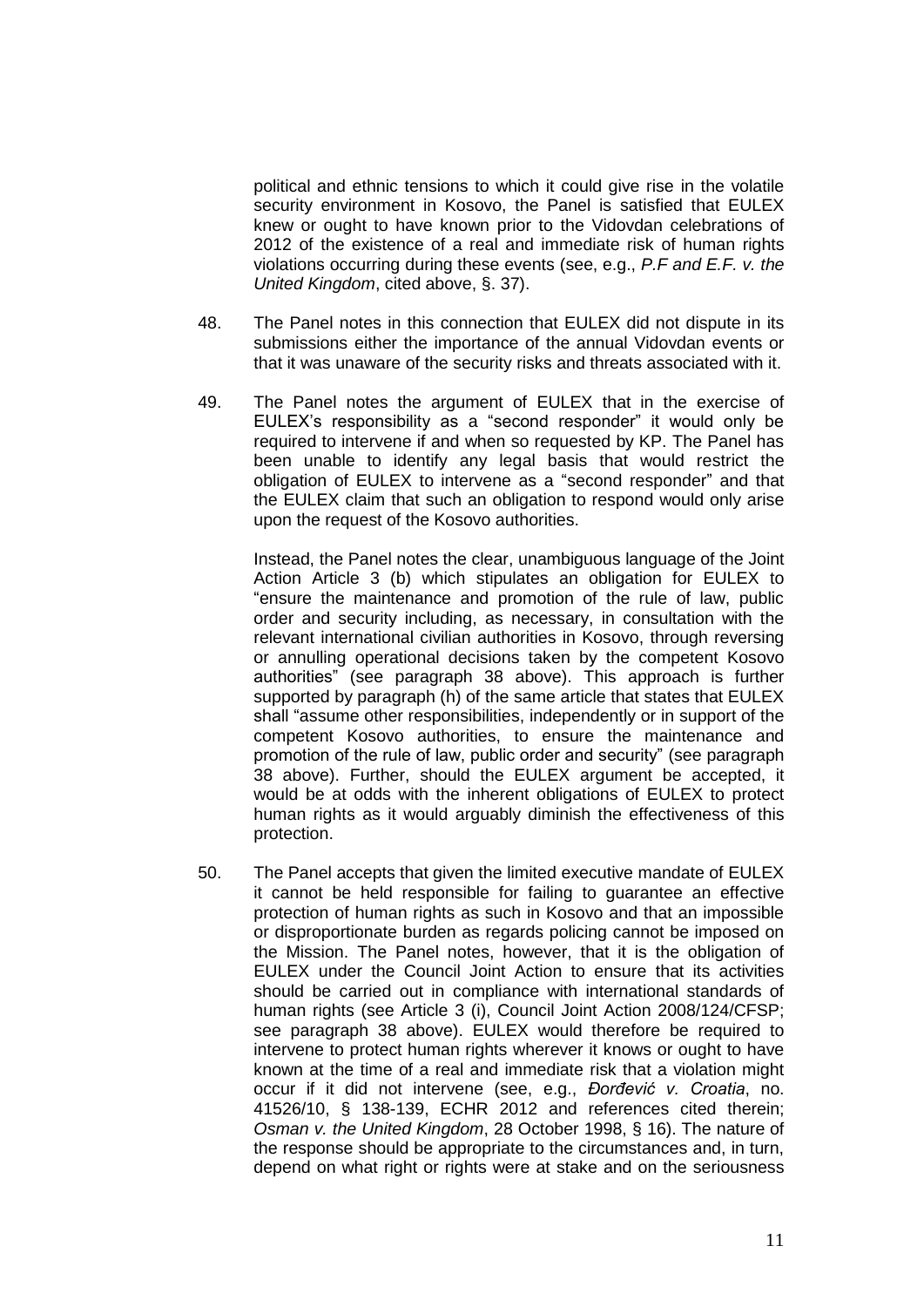political and ethnic tensions to which it could give rise in the volatile security environment in Kosovo, the Panel is satisfied that EULEX knew or ought to have known prior to the Vidovdan celebrations of 2012 of the existence of a real and immediate risk of human rights violations occurring during these events (see, e.g., *P.F and E.F. v. the United Kingdom*, cited above, §. 37).

- 48. The Panel notes in this connection that EULEX did not dispute in its submissions either the importance of the annual Vidovdan events or that it was unaware of the security risks and threats associated with it.
- 49. The Panel notes the argument of EULEX that in the exercise of EULEX's responsibility as a "second responder" it would only be required to intervene if and when so requested by KP. The Panel has been unable to identify any legal basis that would restrict the obligation of EULEX to intervene as a "second responder" and that the EULEX claim that such an obligation to respond would only arise upon the request of the Kosovo authorities.

Instead, the Panel notes the clear, unambiguous language of the Joint Action Article 3 (b) which stipulates an obligation for EULEX to "ensure the maintenance and promotion of the rule of law, public order and security including, as necessary, in consultation with the relevant international civilian authorities in Kosovo, through reversing or annulling operational decisions taken by the competent Kosovo authorities" (see paragraph 38 above). This approach is further supported by paragraph (h) of the same article that states that EULEX shall "assume other responsibilities, independently or in support of the competent Kosovo authorities, to ensure the maintenance and promotion of the rule of law, public order and security" (see paragraph 38 above). Further, should the EULEX argument be accepted, it would be at odds with the inherent obligations of EULEX to protect human rights as it would arguably diminish the effectiveness of this protection.

50. The Panel accepts that given the limited executive mandate of EULEX it cannot be held responsible for failing to guarantee an effective protection of human rights as such in Kosovo and that an impossible or disproportionate burden as regards policing cannot be imposed on the Mission. The Panel notes, however, that it is the obligation of EULEX under the Council Joint Action to ensure that its activities should be carried out in compliance with international standards of human rights (see Article 3 (i), Council Joint Action 2008/124/CFSP; see paragraph 38 above). EULEX would therefore be required to intervene to protect human rights wherever it knows or ought to have known at the time of a real and immediate risk that a violation might occur if it did not intervene (see, e.g., *Đorđević v. Croatia*, no. 41526/10, § 138-139, ECHR 2012 and references cited therein; *Osman v. the United Kingdom*, 28 October 1998, § 16). The nature of the response should be appropriate to the circumstances and, in turn, depend on what right or rights were at stake and on the seriousness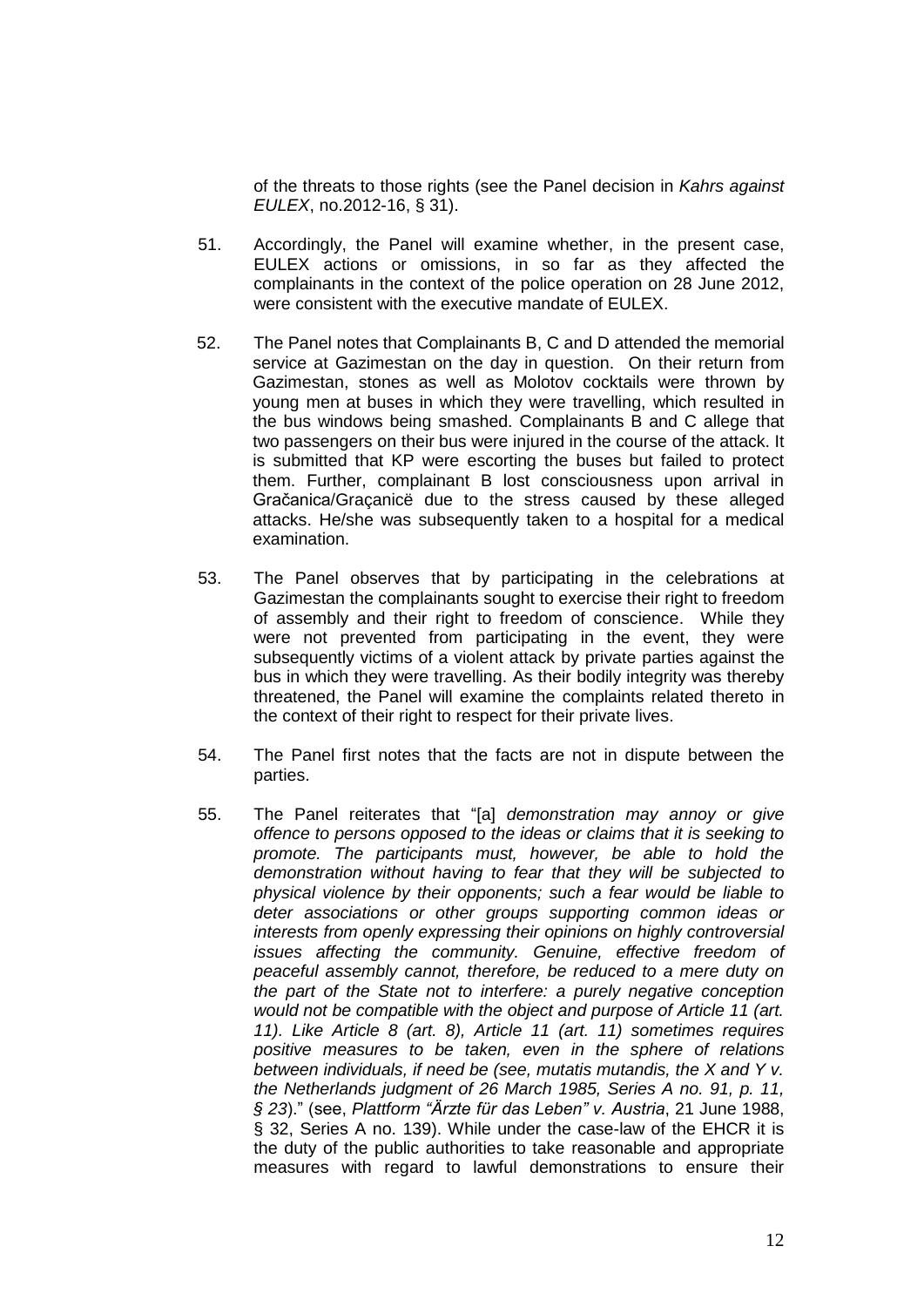of the threats to those rights (see the Panel decision in *Kahrs against EULEX*, no.2012-16, § 31).

- 51. Accordingly, the Panel will examine whether, in the present case, EULEX actions or omissions, in so far as they affected the complainants in the context of the police operation on 28 June 2012, were consistent with the executive mandate of EULEX.
- 52. The Panel notes that Complainants B, C and D attended the memorial service at Gazimestan on the day in question. On their return from Gazimestan, stones as well as Molotov cocktails were thrown by young men at buses in which they were travelling, which resulted in the bus windows being smashed. Complainants B and C allege that two passengers on their bus were injured in the course of the attack. It is submitted that KP were escorting the buses but failed to protect them. Further, complainant B lost consciousness upon arrival in Gračanica/Graçanicë due to the stress caused by these alleged attacks. He/she was subsequently taken to a hospital for a medical examination.
- 53. The Panel observes that by participating in the celebrations at Gazimestan the complainants sought to exercise their right to freedom of assembly and their right to freedom of conscience. While they were not prevented from participating in the event, they were subsequently victims of a violent attack by private parties against the bus in which they were travelling. As their bodily integrity was thereby threatened, the Panel will examine the complaints related thereto in the context of their right to respect for their private lives.
- 54. The Panel first notes that the facts are not in dispute between the parties.
- 55. The Panel reiterates that "[a] *demonstration may annoy or give offence to persons opposed to the ideas or claims that it is seeking to promote. The participants must, however, be able to hold the demonstration without having to fear that they will be subjected to physical violence by their opponents; such a fear would be liable to deter associations or other groups supporting common ideas or interests from openly expressing their opinions on highly controversial issues affecting the community. Genuine, effective freedom of peaceful assembly cannot, therefore, be reduced to a mere duty on the part of the State not to interfere: a purely negative conception would not be compatible with the object and purpose of Article 11 (art. 11). Like Article 8 (art. 8), Article 11 (art. 11) sometimes requires positive measures to be taken, even in the sphere of relations between individuals, if need be (see, mutatis mutandis, the X and Y v. the Netherlands judgment of 26 March 1985, Series A no. 91, p. 11, § 23*)." (see, *Plattform "Ärzte für das Leben" v. Austria*, 21 June 1988, § 32, Series A no. 139). While under the case-law of the EHCR it is the duty of the public authorities to take reasonable and appropriate measures with regard to lawful demonstrations to ensure their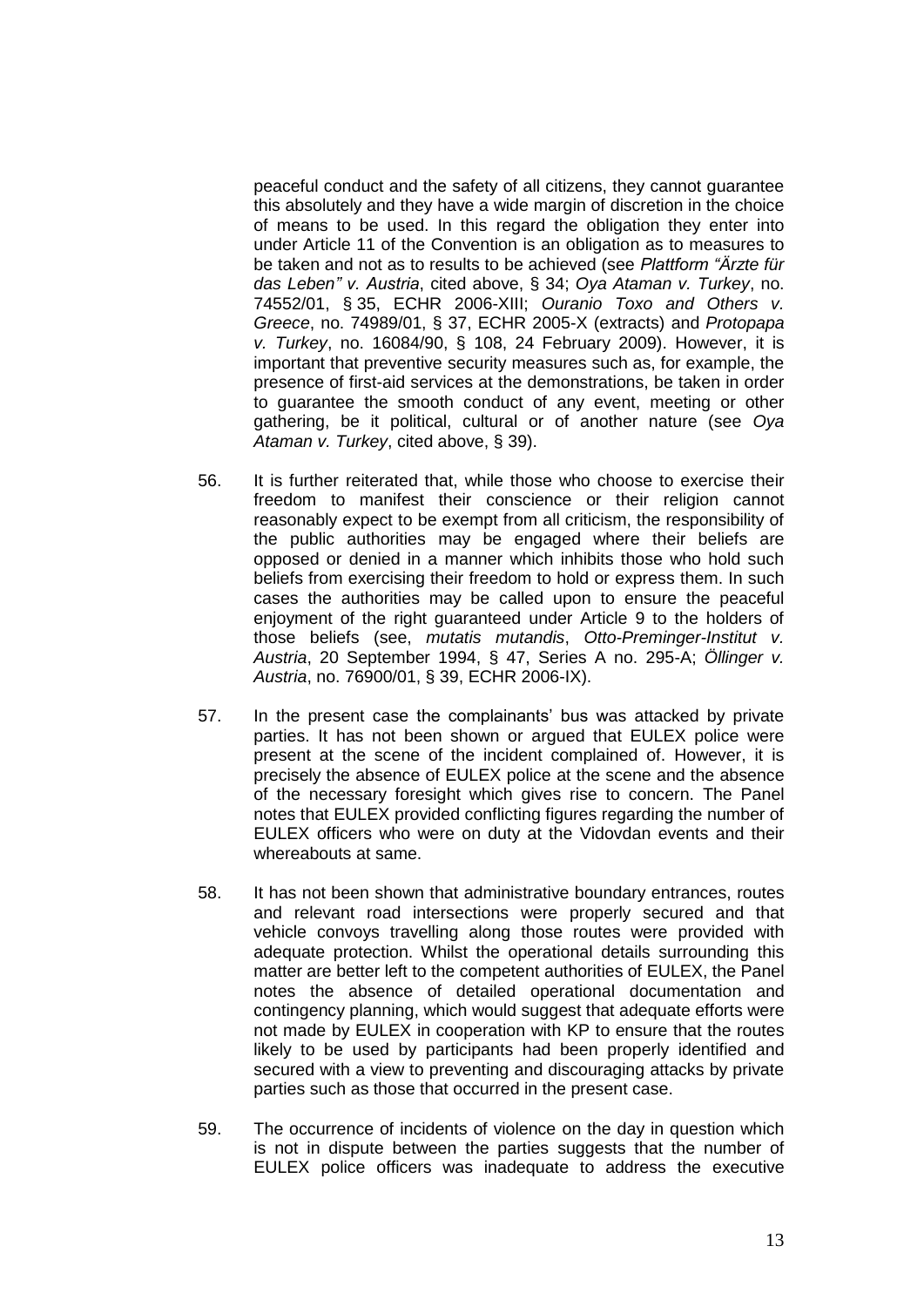peaceful conduct and the safety of all citizens, they cannot guarantee this absolutely and they have a wide margin of discretion in the choice of means to be used. In this regard the obligation they enter into under Article 11 of the Convention is an obligation as to measures to be taken and not as to results to be achieved (see *Plattform "Ärzte für das Leben" v. Austria*, cited above, § 34; *Oya Ataman v. Turkey*, no. 74552/01, § 35, ECHR 2006-XIII; *Ouranio Toxo and Others v. Greece*, no. 74989/01, § 37, ECHR 2005-X (extracts) and *Protopapa v. Turkey*, no. 16084/90, § 108, 24 February 2009). However, it is important that preventive security measures such as, for example, the presence of first-aid services at the demonstrations, be taken in order to guarantee the smooth conduct of any event, meeting or other gathering, be it political, cultural or of another nature (see *Oya Ataman v. Turkey*, cited above, § 39).

- 56. It is further reiterated that, while those who choose to exercise their freedom to manifest their conscience or their religion cannot reasonably expect to be exempt from all criticism, the responsibility of the public authorities may be engaged where their beliefs are opposed or denied in a manner which inhibits those who hold such beliefs from exercising their freedom to hold or express them. In such cases the authorities may be called upon to ensure the peaceful enjoyment of the right guaranteed under Article 9 to the holders of those beliefs (see, *mutatis mutandis*, *Otto-Preminger-Institut v. Austria*, 20 September 1994, § 47, Series A no. 295-A; *Öllinger v. Austria*, no. 76900/01, § 39, ECHR 2006-IX).
- 57. In the present case the complainants' bus was attacked by private parties. It has not been shown or argued that EULEX police were present at the scene of the incident complained of. However, it is precisely the absence of EULEX police at the scene and the absence of the necessary foresight which gives rise to concern. The Panel notes that EULEX provided conflicting figures regarding the number of EULEX officers who were on duty at the Vidovdan events and their whereabouts at same.
- 58. It has not been shown that administrative boundary entrances, routes and relevant road intersections were properly secured and that vehicle convoys travelling along those routes were provided with adequate protection. Whilst the operational details surrounding this matter are better left to the competent authorities of EULEX, the Panel notes the absence of detailed operational documentation and contingency planning, which would suggest that adequate efforts were not made by EULEX in cooperation with KP to ensure that the routes likely to be used by participants had been properly identified and secured with a view to preventing and discouraging attacks by private parties such as those that occurred in the present case.
- 59. The occurrence of incidents of violence on the day in question which is not in dispute between the parties suggests that the number of EULEX police officers was inadequate to address the executive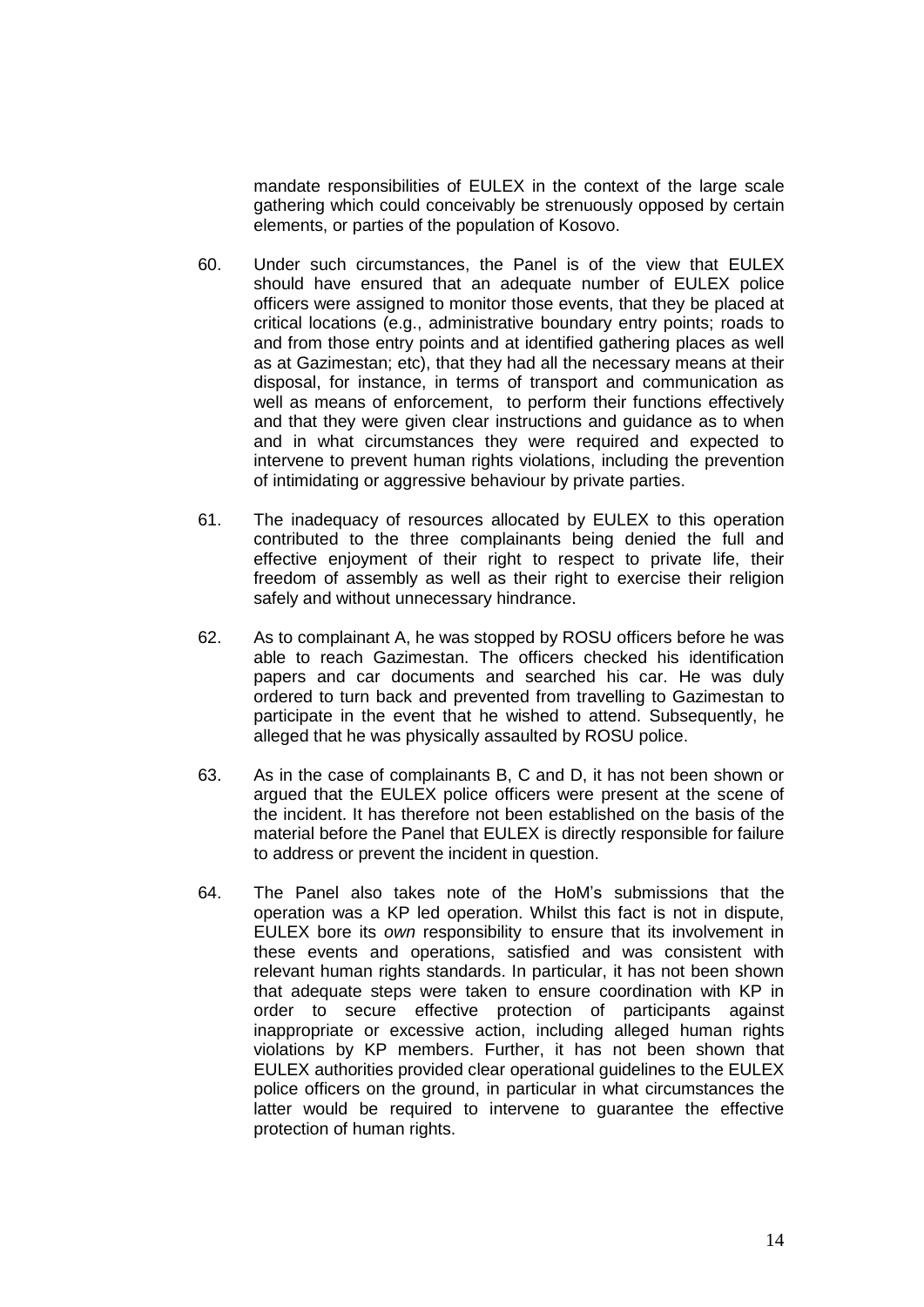mandate responsibilities of EULEX in the context of the large scale gathering which could conceivably be strenuously opposed by certain elements, or parties of the population of Kosovo.

- 60. Under such circumstances, the Panel is of the view that EULEX should have ensured that an adequate number of EULEX police officers were assigned to monitor those events, that they be placed at critical locations (e.g., administrative boundary entry points; roads to and from those entry points and at identified gathering places as well as at Gazimestan; etc), that they had all the necessary means at their disposal, for instance, in terms of transport and communication as well as means of enforcement, to perform their functions effectively and that they were given clear instructions and guidance as to when and in what circumstances they were required and expected to intervene to prevent human rights violations, including the prevention of intimidating or aggressive behaviour by private parties.
- 61. The inadequacy of resources allocated by EULEX to this operation contributed to the three complainants being denied the full and effective enjoyment of their right to respect to private life, their freedom of assembly as well as their right to exercise their religion safely and without unnecessary hindrance.
- 62. As to complainant A, he was stopped by ROSU officers before he was able to reach Gazimestan. The officers checked his identification papers and car documents and searched his car. He was duly ordered to turn back and prevented from travelling to Gazimestan to participate in the event that he wished to attend. Subsequently, he alleged that he was physically assaulted by ROSU police.
- 63. As in the case of complainants B, C and D, it has not been shown or argued that the EULEX police officers were present at the scene of the incident. It has therefore not been established on the basis of the material before the Panel that EULEX is directly responsible for failure to address or prevent the incident in question.
- 64. The Panel also takes note of the HoM's submissions that the operation was a KP led operation. Whilst this fact is not in dispute, EULEX bore its *own* responsibility to ensure that its involvement in these events and operations, satisfied and was consistent with relevant human rights standards. In particular, it has not been shown that adequate steps were taken to ensure coordination with KP in order to secure effective protection of participants against inappropriate or excessive action, including alleged human rights violations by KP members. Further, it has not been shown that EULEX authorities provided clear operational guidelines to the EULEX police officers on the ground, in particular in what circumstances the latter would be required to intervene to guarantee the effective protection of human rights.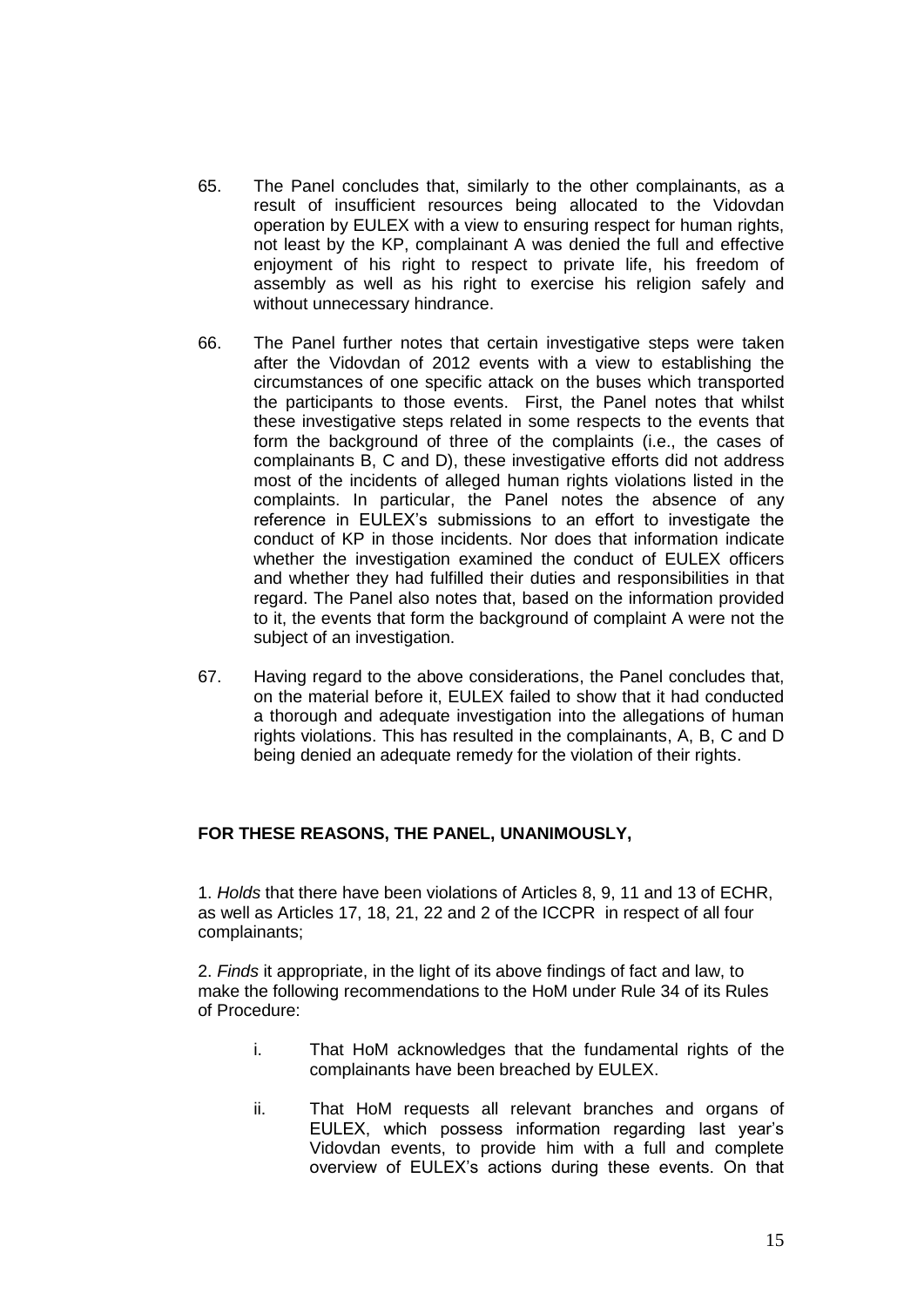- 65. The Panel concludes that, similarly to the other complainants, as a result of insufficient resources being allocated to the Vidovdan operation by EULEX with a view to ensuring respect for human rights, not least by the KP, complainant A was denied the full and effective enjoyment of his right to respect to private life, his freedom of assembly as well as his right to exercise his religion safely and without unnecessary hindrance.
- 66. The Panel further notes that certain investigative steps were taken after the Vidovdan of 2012 events with a view to establishing the circumstances of one specific attack on the buses which transported the participants to those events. First, the Panel notes that whilst these investigative steps related in some respects to the events that form the background of three of the complaints (i.e., the cases of complainants B, C and D), these investigative efforts did not address most of the incidents of alleged human rights violations listed in the complaints. In particular, the Panel notes the absence of any reference in EULEX's submissions to an effort to investigate the conduct of KP in those incidents. Nor does that information indicate whether the investigation examined the conduct of EULEX officers and whether they had fulfilled their duties and responsibilities in that regard. The Panel also notes that, based on the information provided to it, the events that form the background of complaint A were not the subject of an investigation.
- 67. Having regard to the above considerations, the Panel concludes that, on the material before it, EULEX failed to show that it had conducted a thorough and adequate investigation into the allegations of human rights violations. This has resulted in the complainants, A, B, C and D being denied an adequate remedy for the violation of their rights.

## **FOR THESE REASONS, THE PANEL, UNANIMOUSLY,**

1. *Holds* that there have been violations of Articles 8, 9, 11 and 13 of ECHR, as well as Articles 17, 18, 21, 22 and 2 of the ICCPR in respect of all four complainants;

2. *Finds* it appropriate, in the light of its above findings of fact and law, to make the following recommendations to the HoM under Rule 34 of its Rules of Procedure:

- i. That HoM acknowledges that the fundamental rights of the complainants have been breached by EULEX.
- ii. That HoM requests all relevant branches and organs of EULEX, which possess information regarding last year's Vidovdan events, to provide him with a full and complete overview of EULEX's actions during these events. On that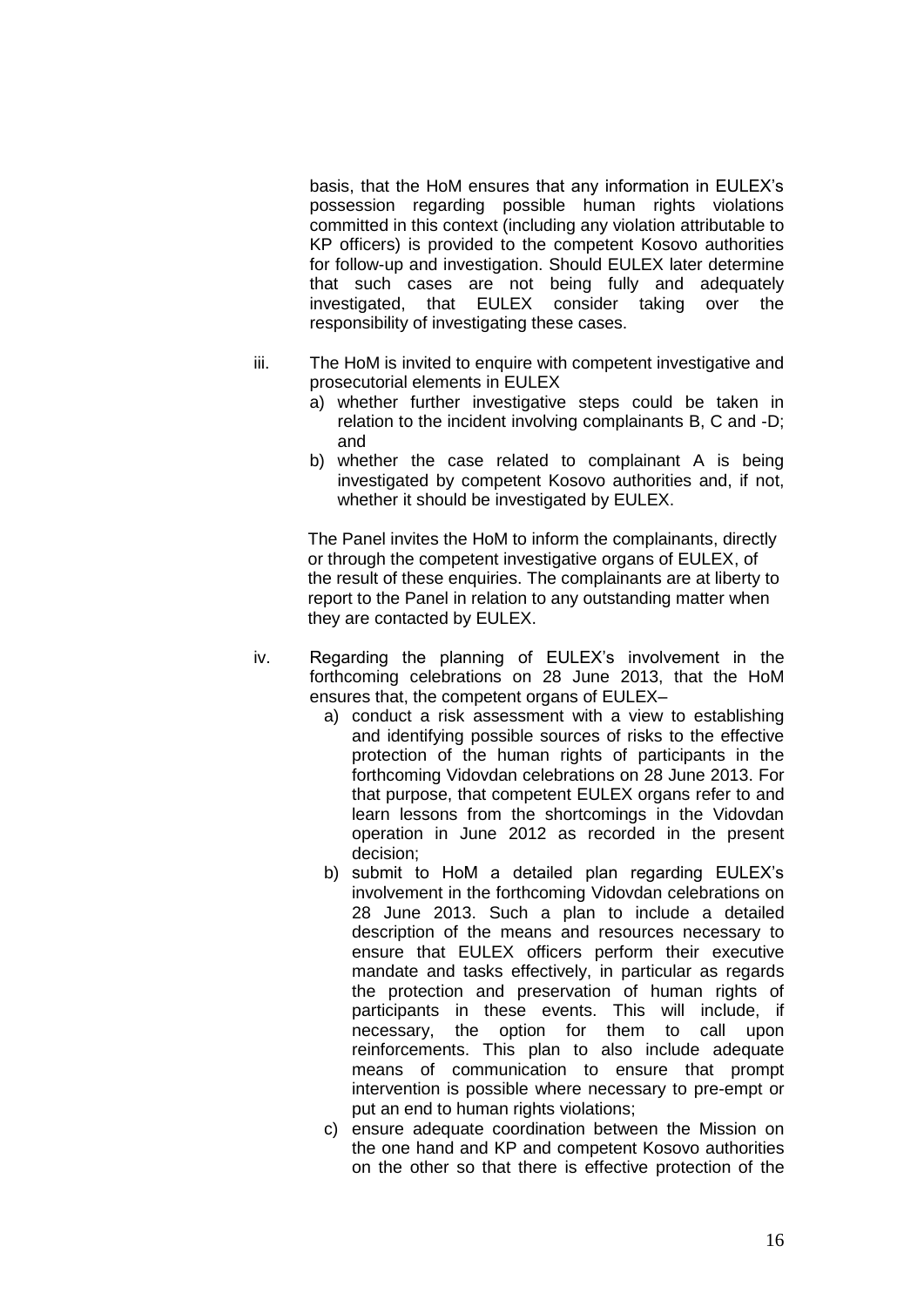basis, that the HoM ensures that any information in EULEX's possession regarding possible human rights violations committed in this context (including any violation attributable to KP officers) is provided to the competent Kosovo authorities for follow-up and investigation. Should EULEX later determine that such cases are not being fully and adequately investigated, that EULEX consider taking over the responsibility of investigating these cases.

- iii. The HoM is invited to enquire with competent investigative and prosecutorial elements in EULEX
	- a) whether further investigative steps could be taken in relation to the incident involving complainants B, C and -D; and
	- b) whether the case related to complainant A is being investigated by competent Kosovo authorities and, if not, whether it should be investigated by EULEX.

The Panel invites the HoM to inform the complainants, directly or through the competent investigative organs of EULEX, of the result of these enquiries. The complainants are at liberty to report to the Panel in relation to any outstanding matter when they are contacted by EULEX.

- iv. Regarding the planning of EULEX's involvement in the forthcoming celebrations on 28 June 2013, that the HoM ensures that, the competent organs of EULEX–
	- a) conduct a risk assessment with a view to establishing and identifying possible sources of risks to the effective protection of the human rights of participants in the forthcoming Vidovdan celebrations on 28 June 2013. For that purpose, that competent EULEX organs refer to and learn lessons from the shortcomings in the Vidovdan operation in June 2012 as recorded in the present decision;
	- b) submit to HoM a detailed plan regarding EULEX's involvement in the forthcoming Vidovdan celebrations on 28 June 2013. Such a plan to include a detailed description of the means and resources necessary to ensure that EULEX officers perform their executive mandate and tasks effectively, in particular as regards the protection and preservation of human rights of participants in these events. This will include, if necessary, the option for them to call upon reinforcements. This plan to also include adequate means of communication to ensure that prompt intervention is possible where necessary to pre-empt or put an end to human rights violations;
	- c) ensure adequate coordination between the Mission on the one hand and KP and competent Kosovo authorities on the other so that there is effective protection of the